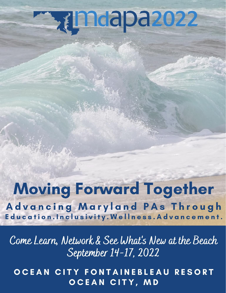# **Rimdapa2022**

## Moving Forward Together

Advancing Maryland PAs Through Education.Inclusivity.Wellness.Advancement.

Come Learn, Network & See What's New at the Beach September 14-17, 2022

OCEAN CITY FONTAINEBLEAU RESORT OCEAN CITY, MD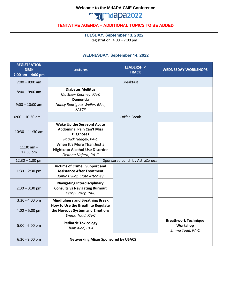#### **Welcome to the MdAPA CME Conference**



#### **TENTATIVE AGENDA – ADDITIONAL TOPICS TO BE ADDED**

**TUESDAY, September 13, 2022** Registration: 4:00 – 7:00 pm

#### **WEDNESDAY, September 14, 2022**

| <b>REGISTRATION</b><br><b>DESK</b><br>7:00 am $-$ 4:00 pm | <b>Lectures</b>                                                                                            | <b>LEADERSHIP</b><br><b>TRACK</b> | <b>WEDNESDAY WORKSHOPS</b>                                 |
|-----------------------------------------------------------|------------------------------------------------------------------------------------------------------------|-----------------------------------|------------------------------------------------------------|
| $7:00 - 8:00$ am                                          |                                                                                                            |                                   |                                                            |
| $8:00 - 9:00$ am                                          | <b>Diabetes Mellitus</b><br>Matthew Kearney, PA-C                                                          |                                   |                                                            |
| $9:00 - 10:00$ am                                         | <b>Dementia</b><br>Nancy Rodriguez-Weller, RPh.,<br>FASCP                                                  |                                   |                                                            |
| $10:00 - 10:30$ am                                        | <b>Coffee Break</b>                                                                                        |                                   |                                                            |
| $10:30 - 11:30$ am                                        | Wake Up the Surgeon! Acute<br><b>Abdominal Pain Can't Miss</b><br><b>Diagnoses</b><br>Patrick Heagey, PA-C |                                   |                                                            |
| 11:30 am $-$<br>12:30 pm                                  | When It's More Than Just a<br><b>Nightcap: Alcohol Use Disorder</b><br>Deanna Najera, PA-C                 |                                   |                                                            |
| $12:30 - 1:30$ pm                                         | Sponsored Lunch by AstraZeneca                                                                             |                                   |                                                            |
| $1:30 - 2:30$ pm                                          | <b>Victims of Crime: Support and</b><br><b>Assistance After Treatment</b><br>Jamie Dykes, State Attorney   |                                   |                                                            |
| $2:30 - 3:30$ pm                                          | <b>Navigating Interdisciplinary</b><br><b>Consults vs Navigating Burnout</b><br>Kerry Birney, PA-C         |                                   |                                                            |
| 3:30 - 4:00 pm                                            | <b>Mindfulness and Breathing Break</b>                                                                     |                                   |                                                            |
| $4:00 - 5:00$ pm                                          | How to Use the Breath to Regulate<br>the Nervous System and Emotions<br>Emma Todd, PA-C                    |                                   |                                                            |
| 5:00 - 6:00 pm                                            | <b>Pediatric Toxicology</b><br>Thom Kidd, PA-C                                                             |                                   | <b>Breathwork Technique</b><br>Workshop<br>Emma Todd, PA-C |
| 6:30 - 9:00 pm                                            | <b>Networking Mixer Sponsored by USACS</b>                                                                 |                                   |                                                            |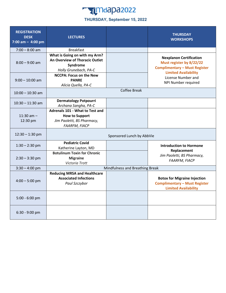### **Tagmaapa2022**

#### **THURSDAY, September 15, 2022**

| <b>REGISTRATION</b><br><b>DESK</b><br>7:00 am $-$ 4:00 pm | <b>LECTURES</b>                                                                                                |  | <b>THURSDAY</b><br><b>WORKSHOPS</b>                                                                                               |  |
|-----------------------------------------------------------|----------------------------------------------------------------------------------------------------------------|--|-----------------------------------------------------------------------------------------------------------------------------------|--|
| $7:00 - 8:00$ am                                          | <b>Breakfast</b>                                                                                               |  |                                                                                                                                   |  |
| $8:00 - 9:00$ am                                          | What is Going on with my Arm?<br>An Overview of Thoracic Outlet<br>Syndrome<br>Holly Grunebach, PA-C           |  | <b>Nexplanon Certification</b><br>Must register by 8/22/22<br><b>Complimentary - Must Register</b><br><b>Limited Availability</b> |  |
| $9:00 - 10:00$ am                                         | <b>NCCPA: Focus on the New</b><br><b>PANRE</b><br>Alicia Quella, PA-C                                          |  | License Number and<br>NPI Number required                                                                                         |  |
| $10:00 - 10:30$ am                                        | <b>Coffee Break</b>                                                                                            |  |                                                                                                                                   |  |
| $10:30 - 11:30$ am                                        | <b>Dermatology Potpourri</b><br>Archana Sangha, PA-C                                                           |  |                                                                                                                                   |  |
| $11:30$ am $-$<br>12:30 pm                                | Adrenals 101 - What to Test and<br><b>How to Support</b><br>Jim Paoletti, BS Pharmacy,<br><b>FAARFM, FIACP</b> |  |                                                                                                                                   |  |
| $12:30 - 1:30$ pm                                         | Sponsored Lunch by AbbVie                                                                                      |  |                                                                                                                                   |  |
| $1:30 - 2:30$ pm                                          | <b>Pediatric Covid</b><br>Katherine Layton, MD                                                                 |  | <b>Introduction to Hormone</b><br>Replacement                                                                                     |  |
| $2:30 - 3:30$ pm                                          | <b>Botulinum Toxin for Chronic</b><br><b>Migraine</b><br>Victoria Trott                                        |  | Jim Paoletti, BS Pharmacy,<br><b>FAARFM, FIACP</b>                                                                                |  |
| $3:30 - 4:00$ pm                                          | Mindfulness and Breathing Break                                                                                |  |                                                                                                                                   |  |
| $4:00 - 5:00$ pm                                          | <b>Reducing MRSA and Healthcare</b><br><b>Associated Infections</b><br>Paul Szczybor                           |  | <b>Botox for Migraine Injection</b><br><b>Complimentary - Must Register</b><br><b>Limited Availability</b>                        |  |
| 5:00 - 6:00 pm                                            |                                                                                                                |  |                                                                                                                                   |  |
| 6:30 - 9:00 pm                                            |                                                                                                                |  |                                                                                                                                   |  |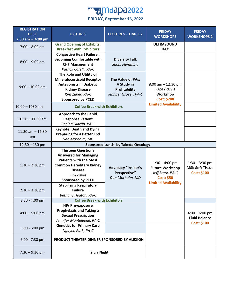

| <b>REGISTRATION</b><br><b>DESK</b><br>7:00 am $-$ 4:00 pm | <b>LECTURES</b>                                                                                                                                                                                                                                                      | <b>LECTURES - TRACK 2</b>                                                               | <b>FRIDAY</b><br><b>WORKSHOPS</b>                                                                                  | <b>FRIDAY</b><br><b>WORKSHOPS 2</b>                              |
|-----------------------------------------------------------|----------------------------------------------------------------------------------------------------------------------------------------------------------------------------------------------------------------------------------------------------------------------|-----------------------------------------------------------------------------------------|--------------------------------------------------------------------------------------------------------------------|------------------------------------------------------------------|
| $7:00 - 8:00$ am                                          | <b>Grand Opening of Exhibits!</b><br><b>Breakfast with Exhibitors</b>                                                                                                                                                                                                |                                                                                         | <b>ULTRASOUND</b><br><b>DAY</b>                                                                                    |                                                                  |
| $8:00 - 9:00$ am                                          | <b>Congestive Heart Failure:</b><br><b>Becoming Comfortable with</b><br><b>CHF Management</b><br>Patrick Corelli, PA-C                                                                                                                                               | <b>Diversity Talk</b><br>Shani Flemming                                                 |                                                                                                                    |                                                                  |
| $9:00 - 10:00$ am                                         | The Role and Utility of<br><b>Mineralocorticoid Receptor</b><br><b>Antagonists in Diabetic</b><br><b>Kidney Disease</b><br>Kim Zuber, PA-C<br><b>Sponsored by PCED</b>                                                                                               | <b>The Value of PAs:</b><br>A Study in<br><b>Profitability</b><br>Jennifer Grover, PA-C | $8:00$ am $-12:30$ pm<br><b>FAST/RUSH</b><br>Workshop<br><b>Cost: \$200</b>                                        |                                                                  |
| $10:00 - 1030$ am                                         | <b>Coffee Break with Exhibitors</b>                                                                                                                                                                                                                                  |                                                                                         | <b>Limited Availability</b>                                                                                        |                                                                  |
| $10:30 - 11:30$ am                                        | <b>Approach to the Rapid</b><br><b>Response Patient</b><br>Regina Martin, PA-C                                                                                                                                                                                       |                                                                                         |                                                                                                                    |                                                                  |
| $11:30$ am $-12:30$<br>pm                                 | <b>Keynote: Death and Dying:</b><br><b>Preparing for a Better End</b><br>Dan Morhaim, MD                                                                                                                                                                             |                                                                                         |                                                                                                                    |                                                                  |
| $12:30 - 130$ pm                                          |                                                                                                                                                                                                                                                                      | <b>Sponsored Lunch by Takeda Oncology</b>                                               |                                                                                                                    |                                                                  |
| $1:30 - 2:30$ pm<br>$2:30 - 3:30$ pm                      | <b>Thirteen Questions</b><br><b>Answered for Managing</b><br><b>Patients with the Most</b><br><b>Common Hereditary Kidney</b><br><b>Disease</b><br>Kim Zuber<br><b>Sponsored by PCED</b><br><b>Stabilizing Respiratory</b><br><b>Failure</b><br>Bethany Heaton, PA-C | <b>Advocacy "Insider's</b><br>Perspective"<br>Dan Morhaim, MD                           | $1:30 - 4:00$ pm<br><b>Suture Workshop</b><br>Jeff Stark, PA-C<br><b>Cost: \$50</b><br><b>Limited Availability</b> | $1:30 - 3:30$ pm<br><b>MSK Soft Tissue</b><br><b>Cost: \$100</b> |
| $3:30 - 4:00$ pm                                          | <b>Coffee Break with Exhibitors</b>                                                                                                                                                                                                                                  |                                                                                         |                                                                                                                    |                                                                  |
| $4:00 - 5:00$ pm                                          | <b>HIV Pre-exposure</b><br><b>Prophylaxis and Taking a</b><br><b>Sexual Prescription</b><br>Jennifer Monteleone, PA-C                                                                                                                                                |                                                                                         |                                                                                                                    | $4:00 - 6:00$ pm<br><b>Fluid Balance</b><br><b>Cost: \$100</b>   |
| 5:00 - 6:00 pm                                            | <b>Genetics for Primary Care</b><br>Nguyen Park, PA-C                                                                                                                                                                                                                |                                                                                         |                                                                                                                    |                                                                  |
| $6:00 - 7:30$ pm                                          | PRODUCT THEATER DINNER SPONSORED BY ALEXION                                                                                                                                                                                                                          |                                                                                         |                                                                                                                    |                                                                  |
| $7:30 - 9:30$ pm                                          | <b>Trivia Night</b>                                                                                                                                                                                                                                                  |                                                                                         |                                                                                                                    |                                                                  |